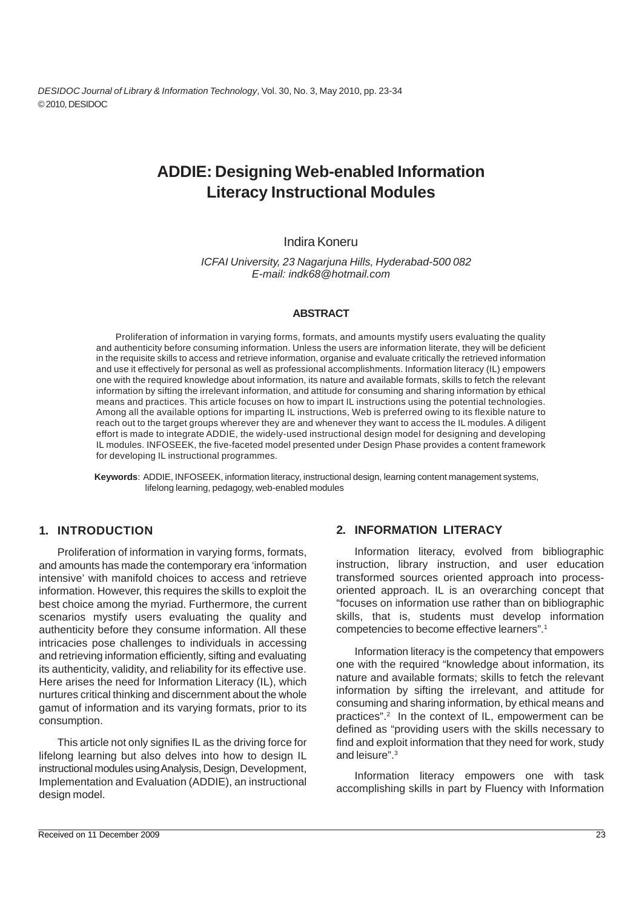*DESIDOC Journal of Library & Information Technology*, Vol. 30, No. 3, May 2010, pp. 23-34 © 2010, DESIDOC

# **ADDIE: Designing Web-enabled Information Literacy Instructional Modules**

# Indira Koneru

*ICFAI University, 23 Nagarjuna Hills, Hyderabad-500 082 E-mail: indk68@hotmail.com*

#### **ABSTRACT**

Proliferation of information in varying forms, formats, and amounts mystify users evaluating the quality and authenticity before consuming information. Unless the users are information literate, they will be deficient in the requisite skills to access and retrieve information, organise and evaluate critically the retrieved information and use it effectively for personal as well as professional accomplishments. Information literacy (IL) empowers one with the required knowledge about information, its nature and available formats, skills to fetch the relevant information by sifting the irrelevant information, and attitude for consuming and sharing information by ethical means and practices. This article focuses on how to impart IL instructions using the potential technologies. Among all the available options for imparting IL instructions, Web is preferred owing to its flexible nature to reach out to the target groups wherever they are and whenever they want to access the IL modules. A diligent effort is made to integrate ADDIE, the widely-used instructional design model for designing and developing IL modules. INFOSEEK, the five-faceted model presented under Design Phase provides a content framework for developing IL instructional programmes.

**Keywords**: ADDIE, INFOSEEK, information literacy, instructional design, learning content management systems, lifelong learning, pedagogy, web-enabled modules

#### **1. INTRODUCTION**

Proliferation of information in varying forms, formats, and amounts has made the contemporary era 'information intensive' with manifold choices to access and retrieve information. However, this requires the skills to exploit the best choice among the myriad. Furthermore, the current scenarios mystify users evaluating the quality and authenticity before they consume information. All these intricacies pose challenges to individuals in accessing and retrieving information efficiently, sifting and evaluating its authenticity, validity, and reliability for its effective use. Here arises the need for Information Literacy (IL), which nurtures critical thinking and discernment about the whole gamut of information and its varying formats, prior to its consumption.

This article not only signifies IL as the driving force for lifelong learning but also delves into how to design IL instructional modules using Analysis, Design, Development, Implementation and Evaluation (ADDIE), an instructional design model.

#### **2. INFORMATION LITERACY**

Information literacy, evolved from bibliographic instruction, library instruction, and user education transformed sources oriented approach into processoriented approach. IL is an overarching concept that "focuses on information use rather than on bibliographic skills, that is, students must develop information competencies to become effective learners".1

Information literacy is the competency that empowers one with the required "knowledge about information, its nature and available formats; skills to fetch the relevant information by sifting the irrelevant, and attitude for consuming and sharing information, by ethical means and practices".<sup>2</sup> In the context of IL, empowerment can be defined as "providing users with the skills necessary to find and exploit information that they need for work, study and leisure".3

Information literacy empowers one with task accomplishing skills in part by Fluency with Information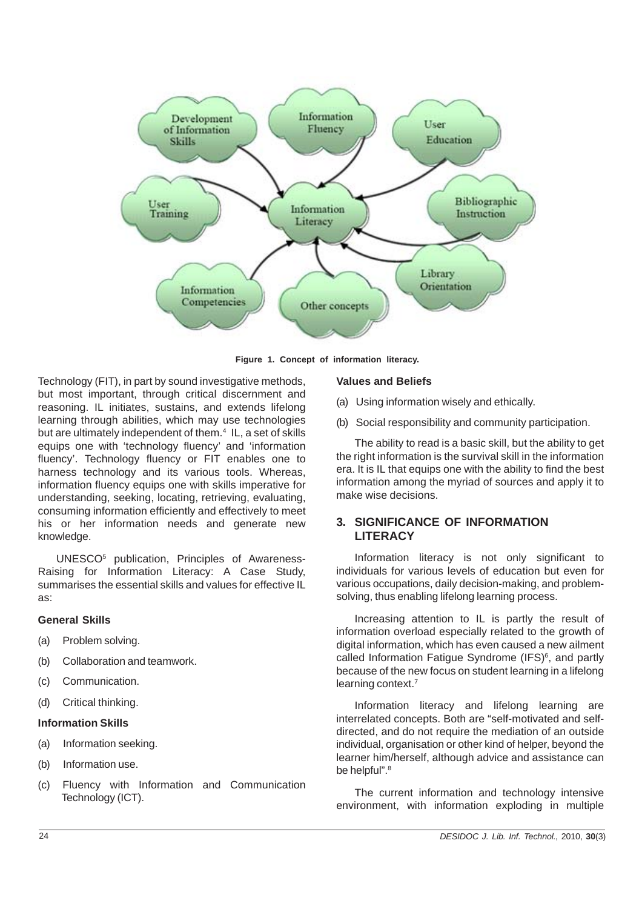

**Figure 1. Concept of information literacy.**

Technology (FIT), in part by sound investigative methods, but most important, through critical discernment and reasoning. IL initiates, sustains, and extends lifelong learning through abilities, which may use technologies but are ultimately independent of them.<sup>4</sup> IL, a set of skills equips one with 'technology fluency' and 'information fluency'. Technology fluency or FIT enables one to harness technology and its various tools. Whereas, information fluency equips one with skills imperative for understanding, seeking, locating, retrieving, evaluating, consuming information efficiently and effectively to meet his or her information needs and generate new knowledge.

UNESCO5 publication, Principles of Awareness-Raising for Information Literacy: A Case Study, summarises the essential skills and values for effective IL as:

#### **General Skills**

- (a) Problem solving.
- (b) Collaboration and teamwork.
- (c) Communication.
- (d) Critical thinking.

#### **Information Skills**

- (a) Information seeking.
- (b) Information use.
- (c) Fluency with Information and Communication Technology (ICT).

#### **Values and Beliefs**

- (a) Using information wisely and ethically.
- (b) Social responsibility and community participation.

The ability to read is a basic skill, but the ability to get the right information is the survival skill in the information era. It is IL that equips one with the ability to find the best information among the myriad of sources and apply it to make wise decisions.

# **3. SIGNIFICANCE OF INFORMATION LITERACY**

Information literacy is not only significant to individuals for various levels of education but even for various occupations, daily decision-making, and problemsolving, thus enabling lifelong learning process.

Increasing attention to IL is partly the result of information overload especially related to the growth of digital information, which has even caused a new ailment called Information Fatigue Syndrome (IFS)<sup>6</sup>, and partly because of the new focus on student learning in a lifelong learning context.7

Information literacy and lifelong learning are interrelated concepts. Both are "self-motivated and selfdirected, and do not require the mediation of an outside individual, organisation or other kind of helper, beyond the learner him/herself, although advice and assistance can be helpful".<sup>8</sup>

The current information and technology intensive environment, with information exploding in multiple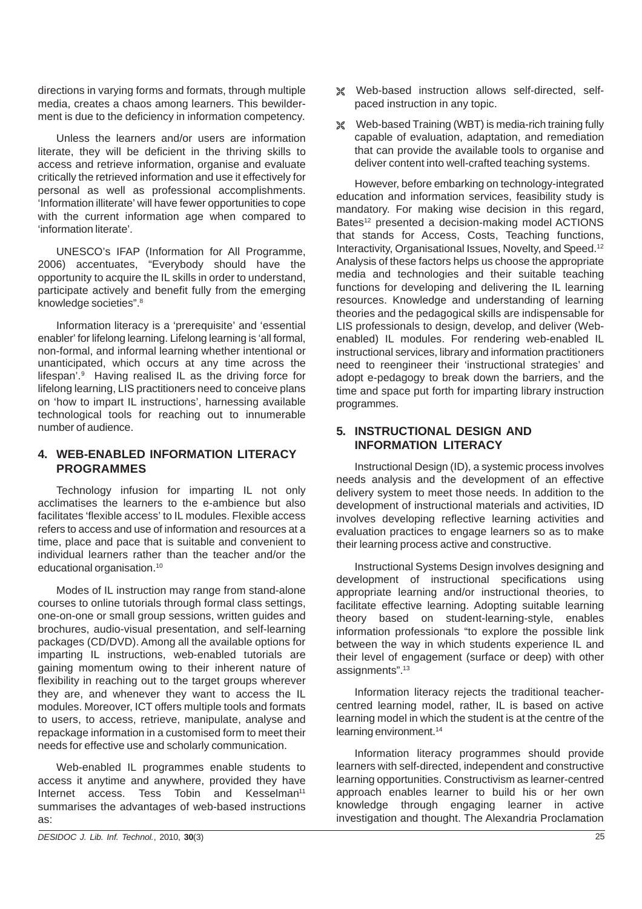directions in varying forms and formats, through multiple media, creates a chaos among learners. This bewilderment is due to the deficiency in information competency.

Unless the learners and/or users are information literate, they will be deficient in the thriving skills to access and retrieve information, organise and evaluate critically the retrieved information and use it effectively for personal as well as professional accomplishments. 'Information illiterate' will have fewer opportunities to cope with the current information age when compared to 'information literate'.

UNESCO's IFAP (Information for All Programme, 2006) accentuates, "Everybody should have the opportunity to acquire the IL skills in order to understand, participate actively and benefit fully from the emerging knowledge societies".8

Information literacy is a 'prerequisite' and 'essential enabler' for lifelong learning. Lifelong learning is 'all formal, non-formal, and informal learning whether intentional or unanticipated, which occurs at any time across the lifespan'.9 Having realised IL as the driving force for lifelong learning, LIS practitioners need to conceive plans on 'how to impart IL instructions', harnessing available technological tools for reaching out to innumerable number of audience.

#### **4. WEB-ENABLED INFORMATION LITERACY PROGRAMMES**

Technology infusion for imparting IL not only acclimatises the learners to the e-ambience but also facilitates 'flexible access' to IL modules. Flexible access refers to access and use of information and resources at a time, place and pace that is suitable and convenient to individual learners rather than the teacher and/or the educational organisation.10

Modes of IL instruction may range from stand-alone courses to online tutorials through formal class settings, one-on-one or small group sessions, written guides and brochures, audio-visual presentation, and self-learning packages (CD/DVD). Among all the available options for imparting IL instructions, web-enabled tutorials are gaining momentum owing to their inherent nature of flexibility in reaching out to the target groups wherever they are, and whenever they want to access the IL modules. Moreover, ICT offers multiple tools and formats to users, to access, retrieve, manipulate, analyse and repackage information in a customised form to meet their needs for effective use and scholarly communication.

Web-enabled IL programmes enable students to access it anytime and anywhere, provided they have Internet access. Tess Tobin and Kesselman<sup>11</sup> summarises the advantages of web-based instructions as:

- ± Web-based instruction allows self-directed, selfpaced instruction in any topic.
- ± Web-based Training (WBT) is media-rich training fully capable of evaluation, adaptation, and remediation that can provide the available tools to organise and deliver content into well-crafted teaching systems.

However, before embarking on technology-integrated education and information services, feasibility study is mandatory. For making wise decision in this regard, Bates<sup>12</sup> presented a decision-making model ACTIONS that stands for Access, Costs, Teaching functions, Interactivity, Organisational Issues, Novelty, and Speed.12 Analysis of these factors helps us choose the appropriate media and technologies and their suitable teaching functions for developing and delivering the IL learning resources. Knowledge and understanding of learning theories and the pedagogical skills are indispensable for LIS professionals to design, develop, and deliver (Webenabled) IL modules. For rendering web-enabled IL instructional services, library and information practitioners need to reengineer their 'instructional strategies' and adopt e-pedagogy to break down the barriers, and the time and space put forth for imparting library instruction programmes.

# **5. INSTRUCTIONAL DESIGN AND INFORMATION LITERACY**

Instructional Design (ID), a systemic process involves needs analysis and the development of an effective delivery system to meet those needs. In addition to the development of instructional materials and activities, ID involves developing reflective learning activities and evaluation practices to engage learners so as to make their learning process active and constructive.

Instructional Systems Design involves designing and development of instructional specifications using appropriate learning and/or instructional theories, to facilitate effective learning. Adopting suitable learning theory based on student-learning-style, enables information professionals "to explore the possible link between the way in which students experience IL and their level of engagement (surface or deep) with other assignments".13

Information literacy rejects the traditional teachercentred learning model, rather, IL is based on active learning model in which the student is at the centre of the learning environment.<sup>14</sup>

Information literacy programmes should provide learners with self-directed, independent and constructive learning opportunities. Constructivism as learner-centred approach enables learner to build his or her own knowledge through engaging learner in active investigation and thought. The Alexandria Proclamation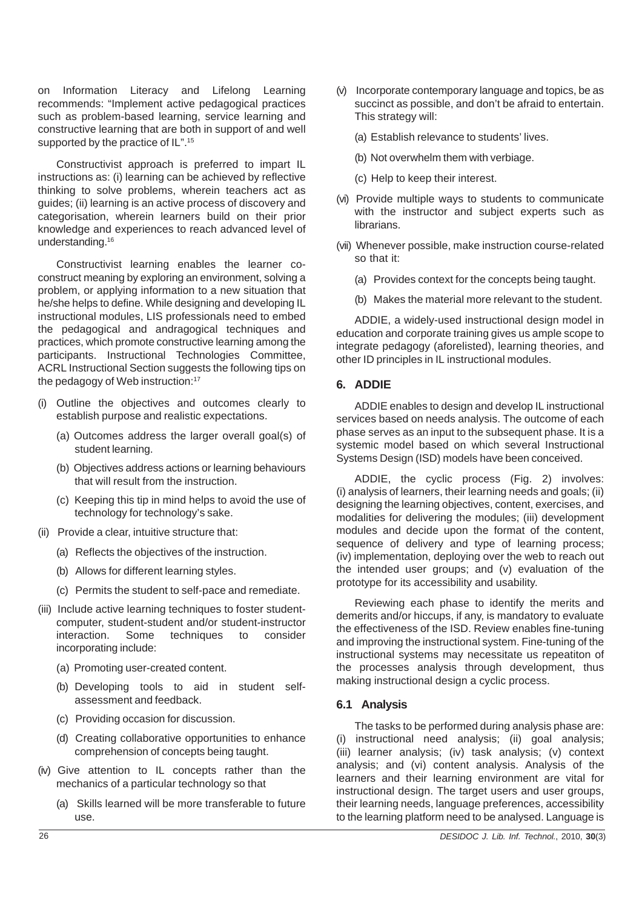on Information Literacy and Lifelong Learning recommends: "Implement active pedagogical practices such as problem-based learning, service learning and constructive learning that are both in support of and well supported by the practice of IL".<sup>15</sup>

Constructivist approach is preferred to impart IL instructions as: (i) learning can be achieved by reflective thinking to solve problems, wherein teachers act as guides; (ii) learning is an active process of discovery and categorisation, wherein learners build on their prior knowledge and experiences to reach advanced level of understanding.16

Constructivist learning enables the learner coconstruct meaning by exploring an environment, solving a problem, or applying information to a new situation that he/she helps to define. While designing and developing IL instructional modules, LIS professionals need to embed the pedagogical and andragogical techniques and practices, which promote constructive learning among the participants. Instructional Technologies Committee, ACRL Instructional Section suggests the following tips on the pedagogy of Web instruction:<sup>17</sup>

- (i) Outline the objectives and outcomes clearly to establish purpose and realistic expectations.
	- (a) Outcomes address the larger overall goal(s) of student learning.
	- (b) Objectives address actions or learning behaviours that will result from the instruction.
	- (c) Keeping this tip in mind helps to avoid the use of technology for technology's sake.
- (ii) Provide a clear, intuitive structure that:
	- (a) Reflects the objectives of the instruction.
	- (b) Allows for different learning styles.
	- (c) Permits the student to self-pace and remediate.
- (iii) Include active learning techniques to foster studentcomputer, student-student and/or student-instructor interaction. Some techniques to consider incorporating include:
	- (a) Promoting user-created content.
	- (b) Developing tools to aid in student selfassessment and feedback.
	- (c) Providing occasion for discussion.
	- (d) Creating collaborative opportunities to enhance comprehension of concepts being taught.
- (iv) Give attention to IL concepts rather than the mechanics of a particular technology so that
	- (a) Skills learned will be more transferable to future use.
- (v) Incorporate contemporary language and topics, be as succinct as possible, and don't be afraid to entertain. This strategy will:
	- (a) Establish relevance to students' lives.
	- (b) Not overwhelm them with verbiage.
	- (c) Help to keep their interest.
- (vi) Provide multiple ways to students to communicate with the instructor and subject experts such as librarians.
- (vii) Whenever possible, make instruction course-related so that it:
	- (a) Provides context for the concepts being taught.
	- (b) Makes the material more relevant to the student.

ADDIE, a widely-used instructional design model in education and corporate training gives us ample scope to integrate pedagogy (aforelisted), learning theories, and other ID principles in IL instructional modules.

#### **6. ADDIE**

ADDIE enables to design and develop IL instructional services based on needs analysis. The outcome of each phase serves as an input to the subsequent phase. It is a systemic model based on which several Instructional Systems Design (ISD) models have been conceived.

ADDIE, the cyclic process (Fig. 2) involves: (i) analysis of learners, their learning needs and goals; (ii) designing the learning objectives, content, exercises, and modalities for delivering the modules; (iii) development modules and decide upon the format of the content, sequence of delivery and type of learning process; (iv) implementation, deploying over the web to reach out the intended user groups; and (v) evaluation of the prototype for its accessibility and usability.

Reviewing each phase to identify the merits and demerits and/or hiccups, if any, is mandatory to evaluate the effectiveness of the ISD. Review enables fine-tuning and improving the instructional system. Fine-tuning of the instructional systems may necessitate us repeatiton of the processes analysis through development, thus making instructional design a cyclic process.

# **6.1 Analysis**

The tasks to be performed during analysis phase are: (i) instructional need analysis; (ii) goal analysis; (iii) learner analysis; (iv) task analysis; (v) context analysis; and (vi) content analysis. Analysis of the learners and their learning environment are vital for instructional design. The target users and user groups, their learning needs, language preferences, accessibility to the learning platform need to be analysed. Language is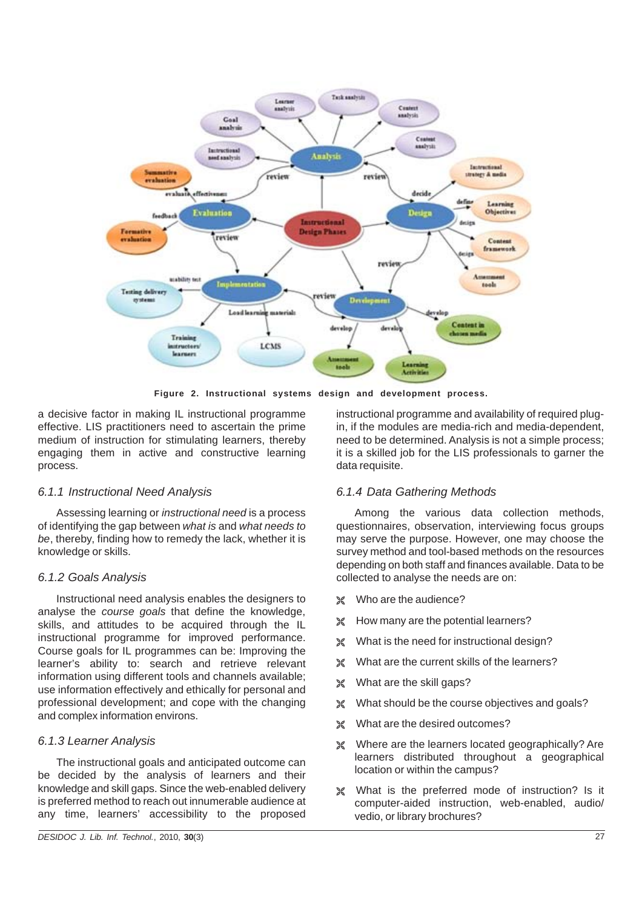

**Figure 2. Instructional systems design and development process.**

a decisive factor in making IL instructional programme effective. LIS practitioners need to ascertain the prime medium of instruction for stimulating learners, thereby engaging them in active and constructive learning process.

#### *6.1.1 Instructional Need Analysis*

Assessing learning or *instructional need* is a process of identifying the gap between *what is* and *what needs to be*, thereby, finding how to remedy the lack, whether it is knowledge or skills.

#### *6.1.2 Goals Analysis*

Instructional need analysis enables the designers to analyse the *course goals* that define the knowledge, skills, and attitudes to be acquired through the IL instructional programme for improved performance. Course goals for IL programmes can be: Improving the learner's ability to: search and retrieve relevant information using different tools and channels available; use information effectively and ethically for personal and professional development; and cope with the changing and complex information environs.

#### *6.1.3 Learner Analysis*

The instructional goals and anticipated outcome can be decided by the analysis of learners and their knowledge and skill gaps. Since the web-enabled delivery is preferred method to reach out innumerable audience at any time, learners' accessibility to the proposed

instructional programme and availability of required plugin, if the modules are media-rich and media-dependent, need to be determined. Analysis is not a simple process; it is a skilled job for the LIS professionals to garner the data requisite.

#### *6.1.4 Data Gathering Methods*

Among the various data collection methods, questionnaires, observation, interviewing focus groups may serve the purpose. However, one may choose the survey method and tool-based methods on the resources depending on both staff and finances available. Data to be collected to analyse the needs are on:

- $%$  Who are the audience?
- $%$  How many are the potential learners?
- $%$  What is the need for instructional design?
- ± What are the current skills of the learners?
- $\%$  What are the skill gaps?
- $%$  What should be the course objectives and goals?
- $*$  What are the desired outcomes?
- \* Where are the learners located geographically? Are learners distributed throughout a geographical location or within the campus?
- ± What is the preferred mode of instruction? Is it computer-aided instruction, web-enabled, audio/ vedio, or library brochures?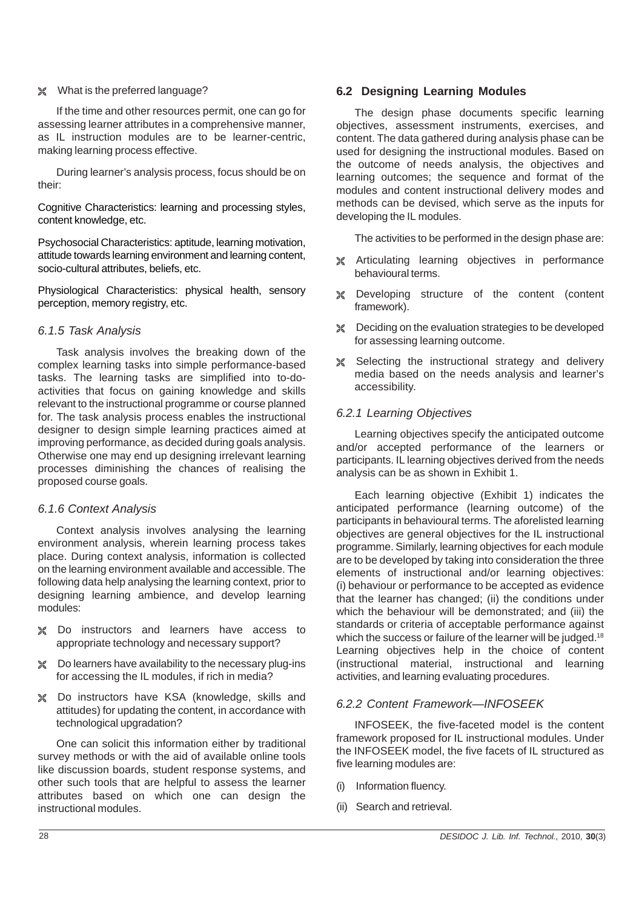#### ± What is the preferred language?

If the time and other resources permit, one can go for assessing learner attributes in a comprehensive manner, as IL instruction modules are to be learner-centric, making learning process effective.

During learner's analysis process, focus should be on their:

Cognitive Characteristics: learning and processing styles, content knowledge, etc.

Psychosocial Characteristics: aptitude, learning motivation, attitude towards learning environment and learning content, socio-cultural attributes, beliefs, etc.

Physiological Characteristics: physical health, sensory perception, memory registry, etc.

#### *6.1.5 Task Analysis*

Task analysis involves the breaking down of the complex learning tasks into simple performance-based tasks. The learning tasks are simplified into to-doactivities that focus on gaining knowledge and skills relevant to the instructional programme or course planned for. The task analysis process enables the instructional designer to design simple learning practices aimed at improving performance, as decided during goals analysis. Otherwise one may end up designing irrelevant learning processes diminishing the chances of realising the proposed course goals.

#### *6.1.6 Context Analysis*

Context analysis involves analysing the learning environment analysis, wherein learning process takes place. During context analysis, information is collected on the learning environment available and accessible. The following data help analysing the learning context, prior to designing learning ambience, and develop learning modules:

- ± Do instructors and learners have access to appropriate technology and necessary support?
- ± Do learners have availability to the necessary plug-ins for accessing the IL modules, if rich in media?
- ± Do instructors have KSA (knowledge, skills and attitudes) for updating the content, in accordance with technological upgradation?

One can solicit this information either by traditional survey methods or with the aid of available online tools like discussion boards, student response systems, and other such tools that are helpful to assess the learner attributes based on which one can design the instructional modules.

#### **6.2 Designing Learning Modules**

The design phase documents specific learning objectives, assessment instruments, exercises, and content. The data gathered during analysis phase can be used for designing the instructional modules. Based on the outcome of needs analysis, the objectives and learning outcomes; the sequence and format of the modules and content instructional delivery modes and methods can be devised, which serve as the inputs for developing the IL modules.

The activities to be performed in the design phase are:

- \* Articulating learning objectives in performance behavioural terms.
- ± Developing structure of the content (content framework).
- ± Deciding on the evaluation strategies to be developed for assessing learning outcome.
- \* Selecting the instructional strategy and delivery media based on the needs analysis and learner's accessibility.

# *6.2.1 Learning Objectives*

Learning objectives specify the anticipated outcome and/or accepted performance of the learners or participants. IL learning objectives derived from the needs analysis can be as shown in Exhibit 1.

Each learning objective (Exhibit 1) indicates the anticipated performance (learning outcome) of the participants in behavioural terms. The aforelisted learning objectives are general objectives for the IL instructional programme. Similarly, learning objectives for each module are to be developed by taking into consideration the three elements of instructional and/or learning objectives: (i) behaviour or performance to be accepted as evidence that the learner has changed; (ii) the conditions under which the behaviour will be demonstrated; and (iii) the standards or criteria of acceptable performance against which the success or failure of the learner will be judged.<sup>18</sup> Learning objectives help in the choice of content (instructional material, instructional and learning activities, and learning evaluating procedures.

# *6.2.2 Content Framework—INFOSEEK*

INFOSEEK, the five-faceted model is the content framework proposed for IL instructional modules. Under the INFOSEEK model, the five facets of IL structured as five learning modules are:

- (i) Information fluency.
- (ii) Search and retrieval.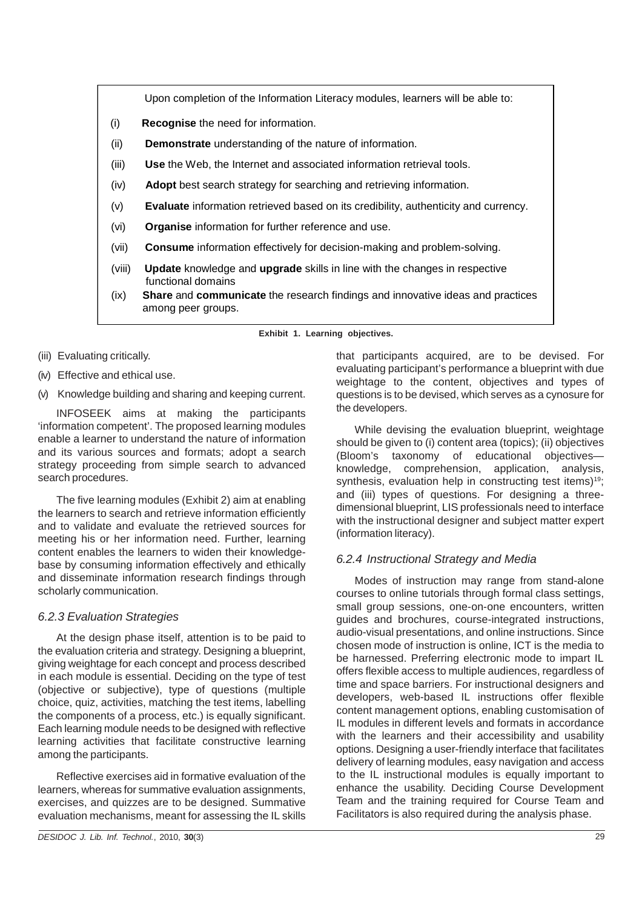Upon completion of the Information Literacy modules, learners will be able to:

- (i) **Recognise** the need for information.
- (ii) **Demonstrate** understanding of the nature of information.
- (iii) **Use** the Web, the Internet and associated information retrieval tools.
- (iv) **Adopt** best search strategy for searching and retrieving information.
- (v) **Evaluate** information retrieved based on its credibility, authenticity and currency.
- (vi) **Organise** information for further reference and use.
- (vii) **Consume** information effectively for decision-making and problem-solving.
- (viii) **Update** knowledge and **upgrade** skills in line with the changes in respective functional domains
- (ix) **Share** and **communicate** the research findings and innovative ideas and practices among peer groups.

**Exhibit 1. Learning objectives.**

- (iii) Evaluating critically.
- (iv) Effective and ethical use.
- (v) Knowledge building and sharing and keeping current.

INFOSEEK aims at making the participants 'information competent'. The proposed learning modules enable a learner to understand the nature of information and its various sources and formats; adopt a search strategy proceeding from simple search to advanced search procedures.

The five learning modules (Exhibit 2) aim at enabling the learners to search and retrieve information efficiently and to validate and evaluate the retrieved sources for meeting his or her information need. Further, learning content enables the learners to widen their knowledgebase by consuming information effectively and ethically and disseminate information research findings through scholarly communication.

#### *6.2.3 Evaluation Strategies*

At the design phase itself, attention is to be paid to the evaluation criteria and strategy. Designing a blueprint, giving weightage for each concept and process described in each module is essential. Deciding on the type of test (objective or subjective), type of questions (multiple choice, quiz, activities, matching the test items, labelling the components of a process, etc.) is equally significant. Each learning module needs to be designed with reflective learning activities that facilitate constructive learning among the participants.

Reflective exercises aid in formative evaluation of the learners, whereas for summative evaluation assignments, exercises, and quizzes are to be designed. Summative evaluation mechanisms, meant for assessing the IL skills

that participants acquired, are to be devised. For evaluating participant's performance a blueprint with due weightage to the content, objectives and types of questions is to be devised, which serves as a cynosure for the developers.

While devising the evaluation blueprint, weightage should be given to (i) content area (topics); (ii) objectives (Bloom's taxonomy of educational objectives knowledge, comprehension, application, analysis, synthesis, evaluation help in constructing test items)<sup>19</sup>; and (iii) types of questions. For designing a threedimensional blueprint, LIS professionals need to interface with the instructional designer and subject matter expert (information literacy).

#### *6.2.4 Instructional Strategy and Media*

Modes of instruction may range from stand-alone courses to online tutorials through formal class settings, small group sessions, one-on-one encounters, written guides and brochures, course-integrated instructions, audio-visual presentations, and online instructions. Since chosen mode of instruction is online, ICT is the media to be harnessed. Preferring electronic mode to impart IL offers flexible access to multiple audiences, regardless of time and space barriers. For instructional designers and developers, web-based IL instructions offer flexible content management options, enabling customisation of IL modules in different levels and formats in accordance with the learners and their accessibility and usability options. Designing a user-friendly interface that facilitates delivery of learning modules, easy navigation and access to the IL instructional modules is equally important to enhance the usability. Deciding Course Development Team and the training required for Course Team and Facilitators is also required during the analysis phase.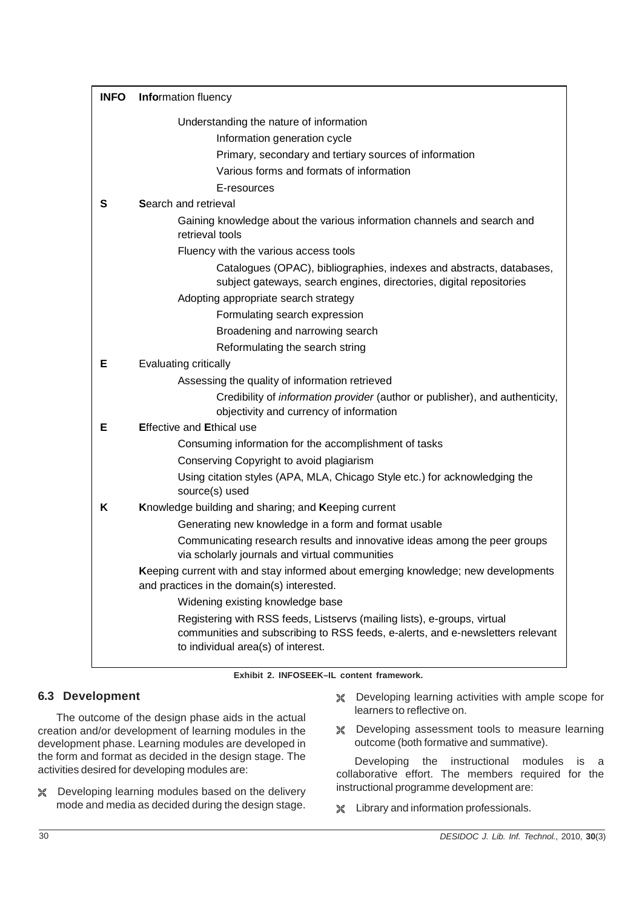| <b>INFO</b> | <b>Information fluency</b>                                                                                                                                                                       |
|-------------|--------------------------------------------------------------------------------------------------------------------------------------------------------------------------------------------------|
|             | Understanding the nature of information                                                                                                                                                          |
|             | Information generation cycle                                                                                                                                                                     |
|             | Primary, secondary and tertiary sources of information                                                                                                                                           |
|             | Various forms and formats of information                                                                                                                                                         |
|             | E-resources                                                                                                                                                                                      |
| S           | Search and retrieval                                                                                                                                                                             |
|             | Gaining knowledge about the various information channels and search and<br>retrieval tools                                                                                                       |
|             | Fluency with the various access tools                                                                                                                                                            |
|             | Catalogues (OPAC), bibliographies, indexes and abstracts, databases,<br>subject gateways, search engines, directories, digital repositories                                                      |
|             | Adopting appropriate search strategy                                                                                                                                                             |
|             | Formulating search expression                                                                                                                                                                    |
|             | Broadening and narrowing search                                                                                                                                                                  |
|             | Reformulating the search string                                                                                                                                                                  |
| Е           | Evaluating critically                                                                                                                                                                            |
|             | Assessing the quality of information retrieved                                                                                                                                                   |
|             | Credibility of <i>information provider</i> (author or publisher), and authenticity,<br>objectivity and currency of information                                                                   |
| Е           | <b>Effective and Ethical use</b>                                                                                                                                                                 |
|             | Consuming information for the accomplishment of tasks                                                                                                                                            |
|             | Conserving Copyright to avoid plagiarism                                                                                                                                                         |
|             | Using citation styles (APA, MLA, Chicago Style etc.) for acknowledging the<br>source(s) used                                                                                                     |
| Κ           | Knowledge building and sharing; and Keeping current                                                                                                                                              |
|             | Generating new knowledge in a form and format usable                                                                                                                                             |
|             | Communicating research results and innovative ideas among the peer groups<br>via scholarly journals and virtual communities                                                                      |
|             | Keeping current with and stay informed about emerging knowledge; new developments<br>and practices in the domain(s) interested.                                                                  |
|             | Widening existing knowledge base                                                                                                                                                                 |
|             | Registering with RSS feeds, Listservs (mailing lists), e-groups, virtual<br>communities and subscribing to RSS feeds, e-alerts, and e-newsletters relevant<br>to individual area(s) of interest. |

**Exhibit 2. INFOSEEK–IL content framework.**

# **6.3 Development**

The outcome of the design phase aids in the actual creation and/or development of learning modules in the development phase. Learning modules are developed in the form and format as decided in the design stage. The activities desired for developing modules are:

- ± Developing learning modules based on the delivery mode and media as decided during the design stage.
- ± Developing learning activities with ample scope for learners to reflective on.
- **EX** Developing assessment tools to measure learning outcome (both formative and summative).

Developing the instructional modules is a collaborative effort. The members required for the instructional programme development are:

± Library and information professionals.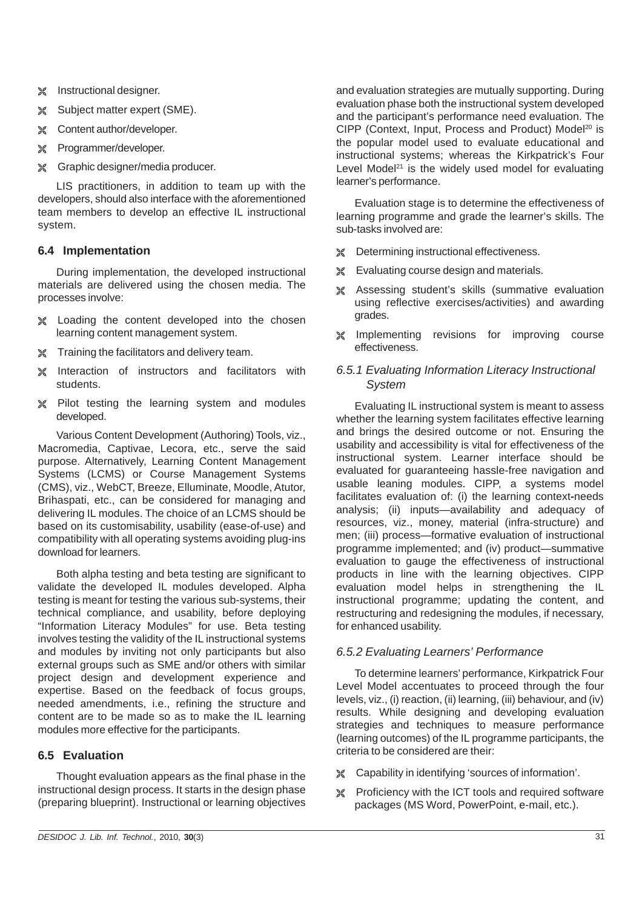- $%$  Instructional designer.
- ± Subject matter expert (SME).
- $*$  Content author/developer.
- ± Programmer/developer.
- ± Graphic designer/media producer.

LIS practitioners, in addition to team up with the developers, should also interface with the aforementioned team members to develop an effective IL instructional system.

#### **6.4 Implementation**

During implementation, the developed instructional materials are delivered using the chosen media. The processes involve:

- ± Loading the content developed into the chosen learning content management system.
- $*$  Training the facilitators and delivery team.
- ± Interaction of instructors and facilitators with students.
- $¥$  Pilot testing the learning system and modules developed.

Various Content Development (Authoring) Tools, viz., Macromedia, Captivae, Lecora, etc., serve the said purpose. Alternatively, Learning Content Management Systems (LCMS) or Course Management Systems (CMS), viz., WebCT, Breeze, Elluminate, Moodle, Atutor, Brihaspati, etc., can be considered for managing and delivering IL modules. The choice of an LCMS should be based on its customisability, usability (ease-of-use) and compatibility with all operating systems avoiding plug-ins download for learners.

Both alpha testing and beta testing are significant to validate the developed IL modules developed. Alpha testing is meant for testing the various sub-systems, their technical compliance, and usability, before deploying "Information Literacy Modules" for use. Beta testing involves testing the validity of the IL instructional systems and modules by inviting not only participants but also external groups such as SME and/or others with similar project design and development experience and expertise. Based on the feedback of focus groups, needed amendments, i.e., refining the structure and content are to be made so as to make the IL learning modules more effective for the participants.

# **6.5 Evaluation**

Thought evaluation appears as the final phase in the instructional design process. It starts in the design phase (preparing blueprint). Instructional or learning objectives

and evaluation strategies are mutually supporting. During evaluation phase both the instructional system developed and the participant's performance need evaluation. The CIPP (Context, Input, Process and Product) Model<sup>20</sup> is the popular model used to evaluate educational and instructional systems; whereas the Kirkpatrick's Four Level Model<sup>21</sup> is the widely used model for evaluating learner's performance.

Evaluation stage is to determine the effectiveness of learning programme and grade the learner's skills. The sub-tasks involved are:

- **★ Determining instructional effectiveness.**
- $\mathcal{L}$  Evaluating course design and materials.
- ± Assessing student's skills (summative evaluation using reflective exercises/activities) and awarding grades.
- ± Implementing revisions for improving course effectiveness.

#### *6.5.1 Evaluating Information Literacy Instructional System*

Evaluating IL instructional system is meant to assess whether the learning system facilitates effective learning and brings the desired outcome or not. Ensuring the usability and accessibility is vital for effectiveness of the instructional system. Learner interface should be evaluated for guaranteeing hassle-free navigation and usable leaning modules. CIPP, a systems model facilitates evaluation of: (i) the learning context**-**needs analysis; (ii) inputs—availability and adequacy of resources, viz., money, material (infra-structure) and men; (iii) process—formative evaluation of instructional programme implemented; and (iv) product—summative evaluation to gauge the effectiveness of instructional products in line with the learning objectives. CIPP evaluation model helps in strengthening the IL instructional programme; updating the content, and restructuring and redesigning the modules, if necessary, for enhanced usability.

#### *6.5.2 Evaluating Learners' Performance*

To determine learners' performance, Kirkpatrick Four Level Model accentuates to proceed through the four levels, viz., (i) reaction, (ii) learning, (iii) behaviour, and (iv) results. While designing and developing evaluation strategies and techniques to measure performance (learning outcomes) of the IL programme participants, the criteria to be considered are their:

- ± Capability in identifying 'sources of information'.
- ± Proficiency with the ICT tools and required software packages (MS Word, PowerPoint, e-mail, etc.).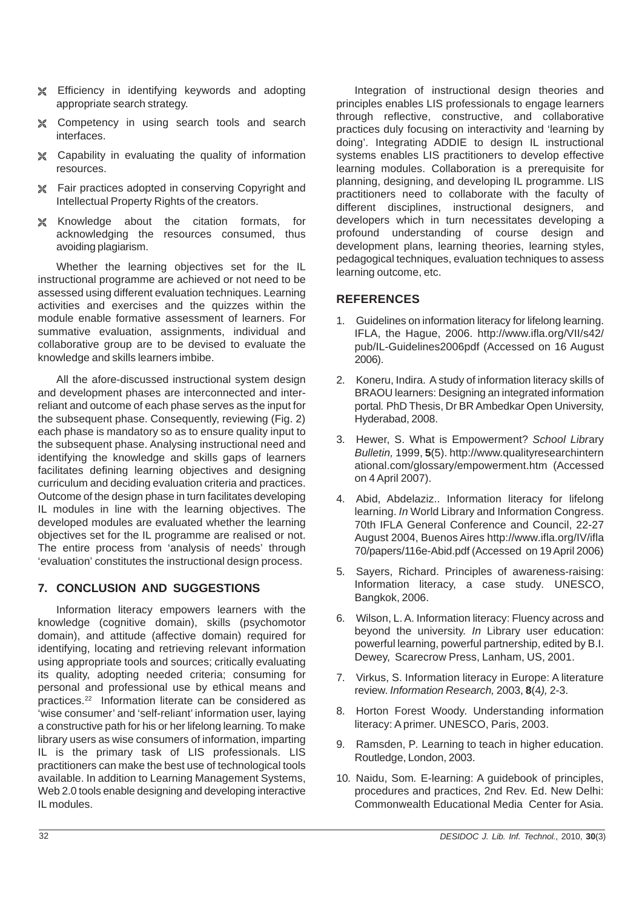- $¥$  Efficiency in identifying keywords and adopting appropriate search strategy.
- ± Competency in using search tools and search interfaces.
- ± Capability in evaluating the quality of information resources.
- ± Fair practices adopted in conserving Copyright and Intellectual Property Rights of the creators.
- ± Knowledge about the citation formats, for acknowledging the resources consumed, thus avoiding plagiarism.

Whether the learning objectives set for the IL instructional programme are achieved or not need to be assessed using different evaluation techniques. Learning activities and exercises and the quizzes within the module enable formative assessment of learners. For summative evaluation, assignments, individual and collaborative group are to be devised to evaluate the knowledge and skills learners imbibe.

All the afore-discussed instructional system design and development phases are interconnected and interreliant and outcome of each phase serves as the input for the subsequent phase. Consequently, reviewing (Fig. 2) each phase is mandatory so as to ensure quality input to the subsequent phase. Analysing instructional need and identifying the knowledge and skills gaps of learners facilitates defining learning objectives and designing curriculum and deciding evaluation criteria and practices. Outcome of the design phase in turn facilitates developing IL modules in line with the learning objectives. The developed modules are evaluated whether the learning objectives set for the IL programme are realised or not. The entire process from 'analysis of needs' through 'evaluation' constitutes the instructional design process.

# **7. CONCLUSION AND SUGGESTIONS**

Information literacy empowers learners with the knowledge (cognitive domain), skills (psychomotor domain), and attitude (affective domain) required for identifying, locating and retrieving relevant information using appropriate tools and sources; critically evaluating its quality, adopting needed criteria; consuming for personal and professional use by ethical means and practices.22 Information literate can be considered as 'wise consumer' and 'self-reliant' information user, laying a constructive path for his or her lifelong learning. To make library users as wise consumers of information, imparting IL is the primary task of LIS professionals. LIS practitioners can make the best use of technological tools available. In addition to Learning Management Systems, Web 2.0 tools enable designing and developing interactive IL modules.

Integration of instructional design theories and principles enables LIS professionals to engage learners through reflective, constructive, and collaborative practices duly focusing on interactivity and 'learning by doing'. Integrating ADDIE to design IL instructional systems enables LIS practitioners to develop effective learning modules. Collaboration is a prerequisite for planning, designing, and developing IL programme. LIS practitioners need to collaborate with the faculty of different disciplines, instructional designers, and developers which in turn necessitates developing a profound understanding of course design and development plans, learning theories, learning styles, pedagogical techniques, evaluation techniques to assess learning outcome, etc.

# **REFERENCES**

- 1. Guidelines on information literacy for lifelong learning. IFLA, the Hague, 2006. http://www.ifla.org/VII/s42/ pub/IL-Guidelines2006pdf (Accessed on 16 August 2006).
- 2. Koneru, Indira. A study of information literacy skills of BRAOU learners: Designing an integrated information portal*.* PhD Thesis, Dr BR Ambedkar Open University, Hyderabad, 2008.
- 3. Hewer, S. What is Empowerment? *School Libr*ary *Bulletin,* 1999, **5**(5). http://www.qualityresearchintern ational.com/glossary/empowerment.htm (Accessed on 4 April 2007).
- 4. Abid, Abdelaziz.. Information literacy for lifelong learning. *In* World Library and Information Congress. 70th IFLA General Conference and Council, 22-27 August 2004, Buenos Aires http://www.ifla.org/IV/ifla 70/papers/116e-Abid.pdf (Accessed on 19 April 2006)
- 5. Sayers, Richard. Principles of awareness-raising: Information literacy, a case study*.* UNESCO, Bangkok, 2006.
- 6. Wilson, L. A. Information literacy: Fluency across and beyond the university. *In* Library user education: powerful learning, powerful partnership, edited by B.I. Dewey, Scarecrow Press, Lanham, US, 2001.
- 7. Virkus, S. Information literacy in Europe: A literature review. *Information Research,* 2003, **8**(4*),* 2-3.
- 8. Horton Forest Woody. Understanding information literacy: A primer. UNESCO, Paris, 2003.
- 9. Ramsden, P*.* Learning to teach in higher education. Routledge, London, 2003.
- 10. Naidu, Som*.* E-learning: A guidebook of principles, procedures and practices, 2nd Rev. Ed. New Delhi: Commonwealth Educational Media Center for Asia.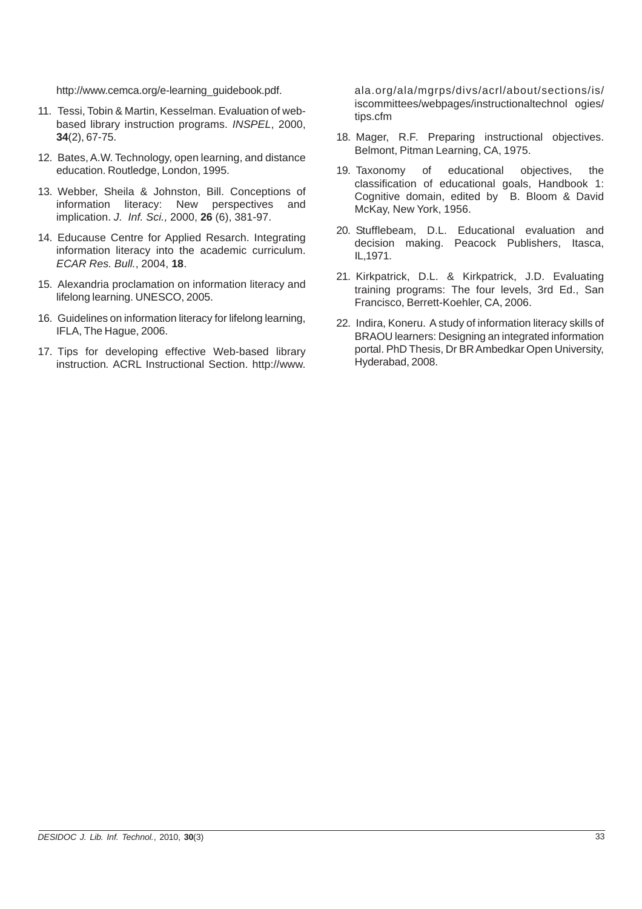http://www.cemca.org/e-learning\_guidebook.pdf.

- 11. Tessi, Tobin & Martin, Kesselman. Evaluation of webbased library instruction programs. *INSPEL*, 2000, **34**(2), 67-75.
- 12. Bates, A.W. Technology, open learning, and distance education. Routledge, London, 1995.
- 13. Webber, Sheila & Johnston, Bill. Conceptions of information literacy: New perspectives and implication. *J. Inf. Sci.,* 2000, **26** (6), 381-97.
- 14. Educause Centre for Applied Resarch. Integrating information literacy into the academic curriculum. *ECAR Res. Bull.*, 2004, **18**.
- 15. Alexandria proclamation on information literacy and lifelong learning. UNESCO, 2005.
- 16. Guidelines on information literacy for lifelong learning, IFLA, The Hague, 2006.
- 17. Tips for developing effective Web-based library instruction*.* ACRL Instructional Section. http://www.

ala.org/ala/mgrps/divs/acrl/about/sections/is/ iscommittees/webpages/instructionaltechnol ogies/ tips.cfm

- 18. Mager, R.F. Preparing instructional objectives. Belmont, Pitman Learning, CA, 1975.
- 19. Taxonomy of educational objectives, the classification of educational goals, Handbook 1: Cognitive domain, edited by B. Bloom & David McKay, New York, 1956.
- 20. Stufflebeam, D.L. Educational evaluation and decision making. Peacock Publishers, Itasca, IL,1971.
- 21. Kirkpatrick, D.L. & Kirkpatrick, J.D. Evaluating training programs: The four levels, 3rd Ed., San Francisco, Berrett-Koehler, CA, 2006.
- 22. Indira, Koneru. A study of information literacy skills of BRAOU learners: Designing an integrated information portal. PhD Thesis, Dr BR Ambedkar Open University, Hyderabad, 2008.